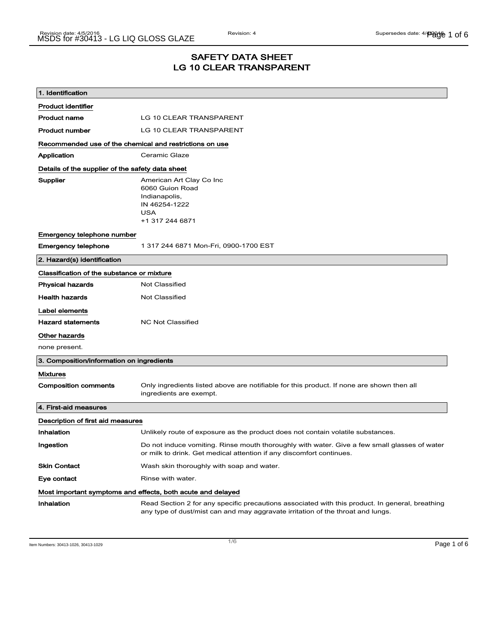### SAFETY DATA SHEET LG 10 CLEAR TRANSPARENT

| 1. Identification                                                            |                                                                                                                                                                                    |
|------------------------------------------------------------------------------|------------------------------------------------------------------------------------------------------------------------------------------------------------------------------------|
| <b>Product identifier</b>                                                    |                                                                                                                                                                                    |
| <b>Product name</b>                                                          | LG 10 CLEAR TRANSPARENT                                                                                                                                                            |
| Product number                                                               | LG 10 CLEAR TRANSPARENT                                                                                                                                                            |
| Recommended use of the chemical and restrictions on use                      |                                                                                                                                                                                    |
| Application                                                                  | Ceramic Glaze                                                                                                                                                                      |
| Details of the supplier of the safety data sheet                             |                                                                                                                                                                                    |
| Supplier                                                                     | American Art Clay Co Inc<br>6060 Guion Road<br>Indianapolis,<br>IN 46254-1222<br><b>USA</b><br>+1 317 244 6871                                                                     |
| Emergency telephone number                                                   |                                                                                                                                                                                    |
| <b>Emergency telephone</b>                                                   | 1 317 244 6871 Mon-Fri, 0900-1700 EST                                                                                                                                              |
| 2. Hazard(s) identification                                                  |                                                                                                                                                                                    |
| Classification of the substance or mixture                                   |                                                                                                                                                                                    |
| <b>Physical hazards</b>                                                      | <b>Not Classified</b>                                                                                                                                                              |
| <b>Health hazards</b>                                                        | <b>Not Classified</b>                                                                                                                                                              |
| Label elements<br><b>Hazard statements</b><br>Other hazards<br>none present. | <b>NC Not Classified</b>                                                                                                                                                           |
| 3. Composition/information on ingredients                                    |                                                                                                                                                                                    |
| <b>Mixtures</b>                                                              |                                                                                                                                                                                    |
| <b>Composition comments</b>                                                  | Only ingredients listed above are notifiable for this product. If none are shown then all<br>ingredients are exempt.                                                               |
| 4. First-aid measures                                                        |                                                                                                                                                                                    |
| Description of first aid measures                                            |                                                                                                                                                                                    |
| Inhalation                                                                   | Unlikely route of exposure as the product does not contain volatile substances.                                                                                                    |
| Ingestion                                                                    | Do not induce vomiting. Rinse mouth thoroughly with water. Give a few small glasses of water<br>or milk to drink. Get medical attention if any discomfort continues.               |
| <b>Skin Contact</b>                                                          | Wash skin thoroughly with soap and water.                                                                                                                                          |
| Eye contact                                                                  | Rinse with water.                                                                                                                                                                  |
| Most important symptoms and effects, both acute and delayed                  |                                                                                                                                                                                    |
| Inhalation                                                                   | Read Section 2 for any specific precautions associated with this product. In general, breathing<br>any type of dust/mist can and may aggravate irritation of the throat and lungs. |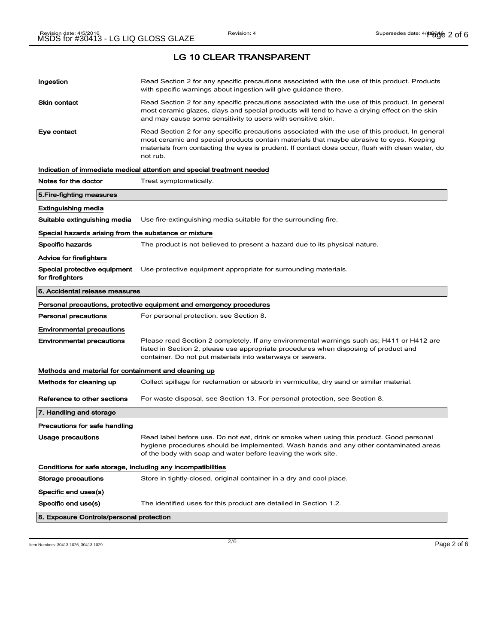| Ingestion                                                    | Read Section 2 for any specific precautions associated with the use of this product. Products<br>with specific warnings about ingestion will give guidance there.                                                                                                                                           |  |
|--------------------------------------------------------------|-------------------------------------------------------------------------------------------------------------------------------------------------------------------------------------------------------------------------------------------------------------------------------------------------------------|--|
| Skin contact                                                 | Read Section 2 for any specific precautions associated with the use of this product. In general<br>most ceramic glazes, clays and special products will tend to have a drying effect on the skin<br>and may cause some sensitivity to users with sensitive skin.                                            |  |
| Eye contact                                                  | Read Section 2 for any specific precautions associated with the use of this product. In general<br>most ceramic and special products contain materials that maybe abrasive to eyes. Keeping<br>materials from contacting the eyes is prudent. If contact does occur, flush with clean water, do<br>not rub. |  |
|                                                              | Indication of immediate medical attention and special treatment needed                                                                                                                                                                                                                                      |  |
| Notes for the doctor                                         | Treat symptomatically.                                                                                                                                                                                                                                                                                      |  |
| 5.Fire-fighting measures                                     |                                                                                                                                                                                                                                                                                                             |  |
| Extinguishing media                                          |                                                                                                                                                                                                                                                                                                             |  |
| Suitable extinguishing media                                 | Use fire-extinguishing media suitable for the surrounding fire.                                                                                                                                                                                                                                             |  |
| Special hazards arising from the substance or mixture        |                                                                                                                                                                                                                                                                                                             |  |
| Specific hazards                                             | The product is not believed to present a hazard due to its physical nature.                                                                                                                                                                                                                                 |  |
| Advice for firefighters                                      |                                                                                                                                                                                                                                                                                                             |  |
| Special protective equipment<br>for firefighters             | Use protective equipment appropriate for surrounding materials.                                                                                                                                                                                                                                             |  |
| 6. Accidental release measures                               |                                                                                                                                                                                                                                                                                                             |  |
|                                                              | Personal precautions, protective equipment and emergency procedures                                                                                                                                                                                                                                         |  |
| <b>Personal precautions</b>                                  | For personal protection, see Section 8.                                                                                                                                                                                                                                                                     |  |
| <b>Environmental precautions</b>                             |                                                                                                                                                                                                                                                                                                             |  |
| <b>Environmental precautions</b>                             | Please read Section 2 completely. If any environmental warnings such as; H411 or H412 are<br>listed in Section 2, please use appropriate procedures when disposing of product and<br>container. Do not put materials into waterways or sewers.                                                              |  |
| Methods and material for containment and cleaning up         |                                                                                                                                                                                                                                                                                                             |  |
| Methods for cleaning up                                      | Collect spillage for reclamation or absorb in vermiculite, dry sand or similar material.                                                                                                                                                                                                                    |  |
| Reference to other sections                                  | For waste disposal, see Section 13. For personal protection, see Section 8.                                                                                                                                                                                                                                 |  |
| 7. Handling and storage                                      |                                                                                                                                                                                                                                                                                                             |  |
| Precautions for safe handling                                |                                                                                                                                                                                                                                                                                                             |  |
| Usage precautions                                            | Read label before use. Do not eat, drink or smoke when using this product. Good personal<br>hygiene procedures should be implemented. Wash hands and any other contaminated areas<br>of the body with soap and water before leaving the work site.                                                          |  |
| Conditions for safe storage, including any incompatibilities |                                                                                                                                                                                                                                                                                                             |  |
| Storage precautions                                          | Store in tightly-closed, original container in a dry and cool place.                                                                                                                                                                                                                                        |  |
| Specific end uses(s)                                         |                                                                                                                                                                                                                                                                                                             |  |
| Specific end use(s)                                          | The identified uses for this product are detailed in Section 1.2.                                                                                                                                                                                                                                           |  |
| 8. Exposure Controls/personal protection                     |                                                                                                                                                                                                                                                                                                             |  |

Item Numbers: 30413-1026, 30413-1029 Page 2 of 6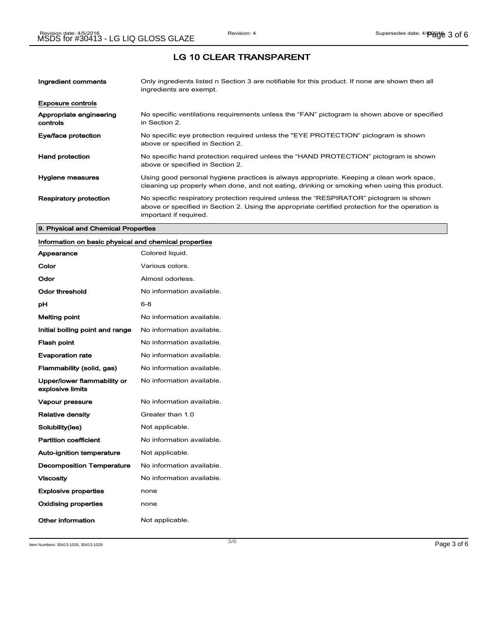| Ingredient comments                 | Only ingredients listed n Section 3 are notifiable for this product. If none are shown then all<br>ingredients are exempt.                                                                                           |
|-------------------------------------|----------------------------------------------------------------------------------------------------------------------------------------------------------------------------------------------------------------------|
| <b>Exposure controls</b>            |                                                                                                                                                                                                                      |
| Appropriate engineering<br>controls | No specific ventilations requirements unless the "FAN" pictogram is shown above or specified<br>in Section 2.                                                                                                        |
| Eye/face protection                 | No specific eye protection required unless the "EYE PROTECTION" pictogram is shown<br>above or specified in Section 2.                                                                                               |
| <b>Hand protection</b>              | No specific hand protection required unless the "HAND PROTECTION" pictogram is shown<br>above or specified in Section 2.                                                                                             |
| Hygiene measures                    | Using good personal hygiene practices is always appropriate. Keeping a clean work space,<br>cleaning up properly when done, and not eating, drinking or smoking when using this product.                             |
| <b>Respiratory protection</b>       | No specific respiratory protection required unless the "RESPIRATOR" pictogram is shown<br>above or specified in Section 2. Using the appropriate certified protection for the operation is<br>important if required. |

### 9. Physical and Chemical Properties

### Information on basic physical and chemical properties

| Appearance                                      | Colored liquid.           |
|-------------------------------------------------|---------------------------|
| Color                                           | Various colors.           |
| Odor                                            | Almost odorless.          |
| Odor threshold                                  | No information available. |
| рH                                              | $6 - 8$                   |
| Melting point                                   | No information available. |
| Initial boiling point and range                 | No information available. |
| <b>Flash point</b>                              | No information available. |
| <b>Evaporation rate</b>                         | No information available. |
| Flammability (solid, gas)                       | No information available. |
| Upper/lower flammability or<br>explosive limits | No information available. |
| Vapour pressure                                 | No information available. |
| <b>Relative density</b>                         | Greater than 1.0          |
| Solubility(ies)                                 | Not applicable.           |
| <b>Partition coefficient</b>                    | No information available. |
| <b>Auto-ignition temperature</b>                | Not applicable.           |
| <b>Decomposition Temperature</b>                | No information available. |
| <b>Viscosity</b>                                | No information available. |
| <b>Explosive properties</b>                     | none                      |
| Oxidising properties                            | none                      |
| Other information                               | Not applicable.           |

Item Numbers: 30413-1026, 30413-1029 Page 3 of 6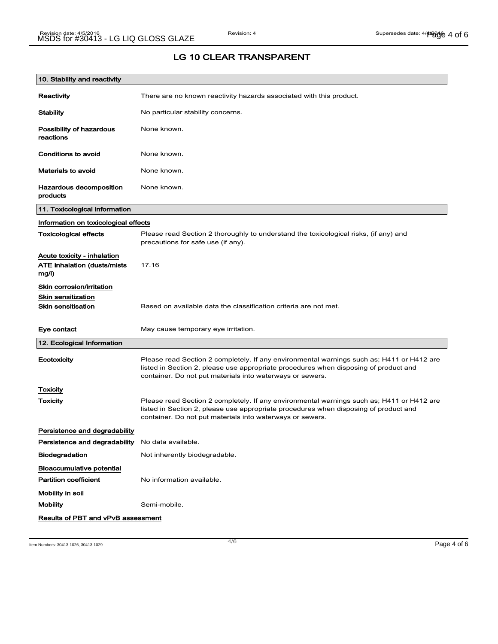## LG 10 CLEAR TRANSPARENT

| 10. Stability and reactivity                                                |                                                                                                                                                                                                                                                |
|-----------------------------------------------------------------------------|------------------------------------------------------------------------------------------------------------------------------------------------------------------------------------------------------------------------------------------------|
| Reactivity                                                                  | There are no known reactivity hazards associated with this product.                                                                                                                                                                            |
| <b>Stability</b>                                                            | No particular stability concerns.                                                                                                                                                                                                              |
| Possibility of hazardous<br>reactions                                       | None known.                                                                                                                                                                                                                                    |
| Conditions to avoid                                                         | None known.                                                                                                                                                                                                                                    |
| <b>Materials to avoid</b>                                                   | None known.                                                                                                                                                                                                                                    |
| Hazardous decomposition<br>products                                         | None known.                                                                                                                                                                                                                                    |
| 11. Toxicological information                                               |                                                                                                                                                                                                                                                |
| Information on toxicological effects                                        |                                                                                                                                                                                                                                                |
| <b>Toxicological effects</b>                                                | Please read Section 2 thoroughly to understand the toxicological risks, (if any) and<br>precautions for safe use (if any).                                                                                                                     |
| Acute toxicity - inhalation<br><b>ATE inhalation (dusts/mists)</b><br>mg/l) | 17.16                                                                                                                                                                                                                                          |
| Skin corrosion/irritation                                                   |                                                                                                                                                                                                                                                |
| <b>Skin sensitization</b>                                                   |                                                                                                                                                                                                                                                |
| <b>Skin sensitisation</b>                                                   | Based on available data the classification criteria are not met.                                                                                                                                                                               |
| Eye contact                                                                 | May cause temporary eye irritation.                                                                                                                                                                                                            |
| 12. Ecological Information                                                  |                                                                                                                                                                                                                                                |
| Ecotoxicity                                                                 | Please read Section 2 completely. If any environmental warnings such as; H411 or H412 are<br>listed in Section 2, please use appropriate procedures when disposing of product and<br>container. Do not put materials into waterways or sewers. |
| <b>Toxicity</b>                                                             |                                                                                                                                                                                                                                                |
| Toxicity                                                                    | Please read Section 2 completely. If any environmental warnings such as; H411 or H412 are<br>listed in Section 2, please use appropriate procedures when disposing of product and<br>container. Do not put materials into waterways or sewers. |
| Persistence and degradability                                               |                                                                                                                                                                                                                                                |
| Persistence and degradability                                               | No data available.                                                                                                                                                                                                                             |
| <b>Biodegradation</b>                                                       | Not inherently biodegradable.                                                                                                                                                                                                                  |
| <b>Bioaccumulative potential</b><br><b>Partition coefficient</b>            | No information available.                                                                                                                                                                                                                      |
| Mobility in soil                                                            |                                                                                                                                                                                                                                                |
| <b>Mobility</b>                                                             | Semi-mobile.                                                                                                                                                                                                                                   |
| <b>Results of PBT and vPvB assessment</b>                                   |                                                                                                                                                                                                                                                |

Item Numbers: 30413-1026, 30413-1029  $\blacksquare$  Page 4 of 6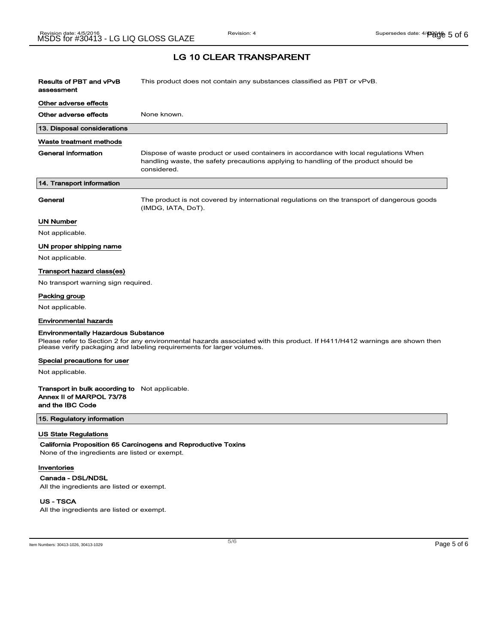| Results of PBT and vPvB<br>assessment                                                          | This product does not contain any substances classified as PBT or vPvB.                                                                                                                             |
|------------------------------------------------------------------------------------------------|-----------------------------------------------------------------------------------------------------------------------------------------------------------------------------------------------------|
| Other adverse effects                                                                          |                                                                                                                                                                                                     |
| Other adverse effects                                                                          | None known.                                                                                                                                                                                         |
| 13. Disposal considerations                                                                    |                                                                                                                                                                                                     |
| Waste treatment methods                                                                        |                                                                                                                                                                                                     |
| General information                                                                            | Dispose of waste product or used containers in accordance with local regulations When<br>handling waste, the safety precautions applying to handling of the product should be<br>considered.        |
| 14. Transport information                                                                      |                                                                                                                                                                                                     |
| General                                                                                        | The product is not covered by international regulations on the transport of dangerous goods<br>(IMDG, IATA, DoT).                                                                                   |
| UN Number                                                                                      |                                                                                                                                                                                                     |
| Not applicable.                                                                                |                                                                                                                                                                                                     |
| UN proper shipping name                                                                        |                                                                                                                                                                                                     |
| Not applicable.                                                                                |                                                                                                                                                                                                     |
| Transport hazard class(es)                                                                     |                                                                                                                                                                                                     |
| No transport warning sign required.                                                            |                                                                                                                                                                                                     |
| Packing group                                                                                  |                                                                                                                                                                                                     |
| Not applicable.                                                                                |                                                                                                                                                                                                     |
| <b>Environmental hazards</b>                                                                   |                                                                                                                                                                                                     |
| <b>Environmentally Hazardous Substance</b>                                                     |                                                                                                                                                                                                     |
|                                                                                                | Please refer to Section 2 for any environmental hazards associated with this product. If H411/H412 warnings are shown then<br>please verify packaging and labeling requirements for larger volumes. |
| Special precautions for user                                                                   |                                                                                                                                                                                                     |
| Not applicable.                                                                                |                                                                                                                                                                                                     |
| Transport in bulk according to Not applicable.<br>Annex II of MARPOL 73/78<br>and the IBC Code |                                                                                                                                                                                                     |

15. Regulatory information

#### US State Regulations

California Proposition 65 Carcinogens and Reproductive Toxins

None of the ingredients are listed or exempt.

#### Inventories

Canada - DSL/NDSL

All the ingredients are listed or exempt.

### US - TSCA

All the ingredients are listed or exempt.